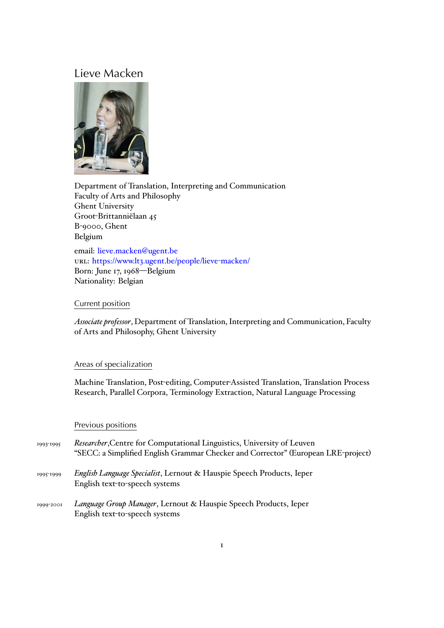# Lieve Macken



Department of Translation, Interpreting and Communication Faculty of Arts and Philosophy Ghent University Groot-Brittanniëlaan 45 B-9000, Ghent Belgium

email: lieve.macken@ugent.be url: https://www.lt3.ugent.be/people/lieve-macken/ Born: June 17, 1968—Belgium Natio[nality: Belgian](mailto:lieve.macken@ugent.be)

## Current position

*Associate professor*, Department of Translation, Interpreting and Communication, Faculty of Arts and Philosophy, Ghent University

## Areas of specialization

Machine Translation, Post-editing, Computer-Assisted Translation, Translation Process Research, Parallel Corpora, Terminology Extraction, Natural Language Processing

## Previous positions

| 1993-1995 | <i>Researcher</i> , Centre for Computational Linguistics, University of Leuven<br>"SECC: a Simplified English Grammar Checker and Corrector" (European LRE-project) |
|-----------|---------------------------------------------------------------------------------------------------------------------------------------------------------------------|
| 1995-1999 | <i>English Language Specialist</i> , Lernout & Hauspie Speech Products, Ieper<br>English text-to-speech systems                                                     |
| 1999-2001 | Language Group Manager, Lernout & Hauspie Speech Products, Ieper<br>English text-to-speech systems                                                                  |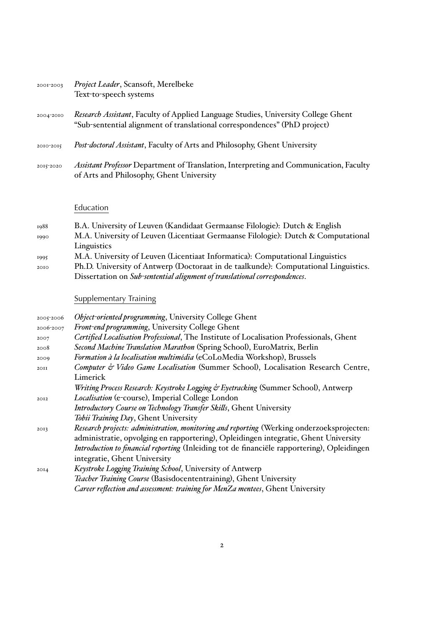| 2001-2003 | Project Leader, Scansoft, Merelbeke |
|-----------|-------------------------------------|
|           | Text-to-speech systems              |

- 2004-2010 *Research Assistant*, Faculty of Applied Language Studies, University College Ghent "Sub-sentential alignment of translational correspondences" (PhD project)
- 2010-2015 *Post-doctoral Assistant*, Faculty of Arts and Philosophy, Ghent University
- 2015-2020 *Assistant Professor* Department of Translation, Interpreting and Communication, Faculty of Arts and Philosophy, Ghent University

## Education

- 1988 B.A. University of Leuven (Kandidaat Germaanse Filologie): Dutch & English 1990 M.A. University of Leuven (Licentiaat Germaanse Filologie): Dutch & Computational Linguistics
- 1995 M.A. University of Leuven (Licentiaat Informatica): Computational Linguistics 2010 Ph.D. University of Antwerp (Doctoraat in de taalkunde): Computational Linguistics.
	- Dissertation on *Sub-sentential alignment of translational correspondences*.

## Supplementary Training

| Object-oriented programming, University College Ghent                                       |
|---------------------------------------------------------------------------------------------|
| Front-end programming, University College Ghent                                             |
| Certified Localisation Professional, The Institute of Localisation Professionals, Ghent     |
| Second Machine Translation Marathon (Spring School), EuroMatrix, Berlin                     |
| Formation à la localisation multimédia (eCoLoMedia Workshop), Brussels                      |
| Computer & Video Game Localisation (Summer School), Localisation Research Centre,           |
| Limerick                                                                                    |
| Writing Process Research: Keystroke Logging & Eyetracking (Summer School), Antwerp          |
| <i>Localisation</i> (e-course), Imperial College London                                     |
| Introductory Course on Technology Transfer Skills, Ghent University                         |
| Tobii Training Day, Ghent University                                                        |
| Research projects: administration, monitoring and reporting (Werking onderzoeksprojecten:   |
| administratie, opvolging en rapportering), Opleidingen integratie, Ghent University         |
| Introduction to financial reporting (Inleiding tot de financiële rapportering), Opleidingen |
| integratie, Ghent University                                                                |
| Keystroke Logging Training School, University of Antwerp                                    |
| Teacher Training Course (Basisdocententraining), Ghent University                           |
| Career reflection and assessment: training for MenZa mentees, Ghent University              |
|                                                                                             |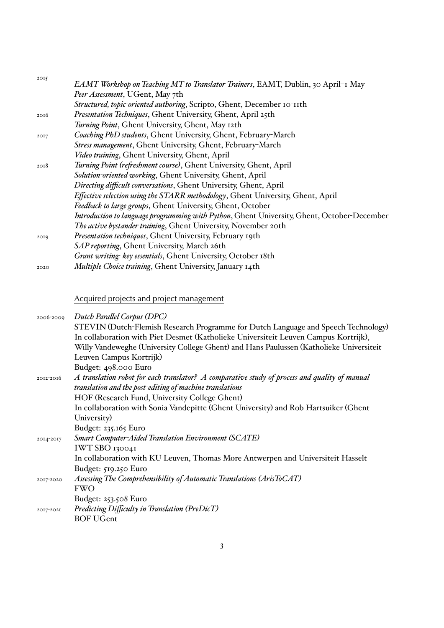| 2015 |                                                                                             |
|------|---------------------------------------------------------------------------------------------|
|      | EAMT Workshop on Teaching MT to Translator Trainers, EAMT, Dublin, 30 April-1 May           |
|      | Peer Assessment, UGent, May 7th                                                             |
|      | Structured, topic-oriented authoring, Scripto, Ghent, December 10-11th                      |
| 2016 | Presentation Techniques, Ghent University, Ghent, April 25th                                |
|      | Turning Point, Ghent University, Ghent, May 12th                                            |
| 20I7 | Coaching PhD students, Ghent University, Ghent, February-March                              |
|      | Stress management, Ghent University, Ghent, February-March                                  |
|      | Video training, Ghent University, Ghent, April                                              |
| 2018 | Turning Point (refreshment course), Ghent University, Ghent, April                          |
|      | Solution-oriented working, Ghent University, Ghent, April                                   |
|      | Directing difficult conversations, Ghent University, Ghent, April                           |
|      | Effective selection using the STARR methodology, Ghent University, Ghent, April             |
|      | Feedback to large groups, Ghent University, Ghent, October                                  |
|      | Introduction to language programming with Python, Ghent University, Ghent, October-December |
|      | The active bystander training, Ghent University, November 20th                              |
| 2019 | Presentation techniques, Ghent University, February 19th                                    |
|      | SAP reporting, Ghent University, March 26th                                                 |
|      | Grant writing: key essentials, Ghent University, October 18th                               |
| 2020 | Multiple Choice training, Ghent University, January 14th                                    |
|      |                                                                                             |

## Acquired projects and project management

| 2006-2009 | Dutch Parallel Corpus (DPC)                                                                   |
|-----------|-----------------------------------------------------------------------------------------------|
|           | STEVIN (Dutch-Flemish Research Programme for Dutch Language and Speech Technology)            |
|           | In collaboration with Piet Desmet (Katholieke Universiteit Leuven Campus Kortrijk),           |
|           | Willy Vandeweghe (University College Ghent) and Hans Paulussen (Katholieke Universiteit       |
|           | Leuven Campus Kortrijk)                                                                       |
|           | Budget: 498.000 Euro                                                                          |
| 2012-2016 | A translation robot for each translator? A comparative study of process and quality of manual |
|           | translation and the post-editing of machine translations                                      |
|           | HOF (Research Fund, University College Ghent)                                                 |
|           | In collaboration with Sonia Vandepitte (Ghent University) and Rob Hartsuiker (Ghent           |
|           | University)                                                                                   |
|           | Budget: 235.165 Euro                                                                          |
| 2014-2017 | <b>Smart Computer-Aided Translation Environment (SCATE)</b>                                   |
|           | IWT SBO 130041                                                                                |
|           | In collaboration with KU Leuven, Thomas More Antwerpen and Universiteit Hasselt               |
|           | Budget: 519.250 Euro                                                                          |
| 2017-2020 | Assessing The Comprehensibility of Automatic Translations (ArisToCAT)                         |
|           | <b>FWO</b>                                                                                    |
|           | Budget: $253.508$ Euro                                                                        |
| 2017-2021 | Predicting Difficulty in Translation (PreDicT)                                                |
|           | <b>BOF UGent</b>                                                                              |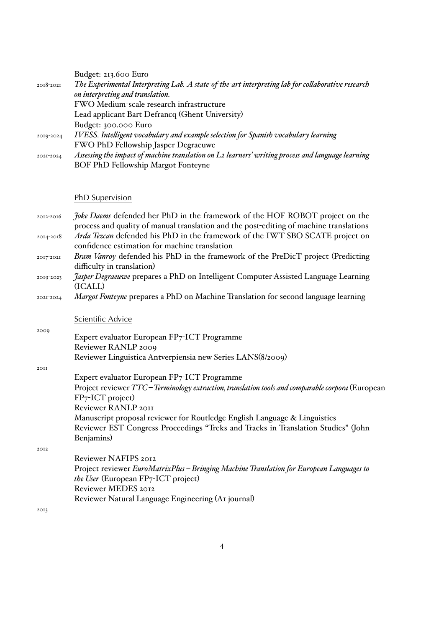|           | Budget: 213.600 Euro                                                                                 |
|-----------|------------------------------------------------------------------------------------------------------|
| 2018-2021 | The Experimental Interpreting Lab. A state-of-the-art interpreting lab for collaborative research    |
|           | on interpreting and translation.                                                                     |
|           | FWO Medium-scale research infrastructure                                                             |
|           | Lead applicant Bart Defrancq (Ghent University)                                                      |
|           | Budget: 300.000 Euro                                                                                 |
| 2019-2024 | IVESS. Intelligent vocabulary and example selection for Spanish vocabulary learning                  |
|           | FWO PhD Fellowship Jasper Degraeuwe                                                                  |
| 2021-2024 | Assessing the impact of machine translation on L2 learners' writing process and language learning    |
|           | <b>BOF PhD Fellowship Margot Fonteyne</b>                                                            |
|           |                                                                                                      |
|           |                                                                                                      |
|           | PhD Supervision                                                                                      |
|           |                                                                                                      |
|           |                                                                                                      |
| 2012-2016 | Joke Daems defended her PhD in the framework of the HOF ROBOT project on the                         |
|           | process and quality of manual translation and the post-editing of machine translations               |
| 2014-2018 | Arda Tezcan defended his PhD in the framework of the IWT SBO SCATE project on                        |
| 2017-2021 | confidence estimation for machine translation                                                        |
|           | Bram Vanroy defended his PhD in the framework of the PreDicT project (Predicting                     |
| 2019-2023 | difficulty in translation)                                                                           |
|           | <i>Jasper Degraeuwe</i> prepares a PhD on Intelligent Computer-Assisted Language Learning<br>(ICALL) |
| 2021-2024 | Margot Fonteyne prepares a PhD on Machine Translation for second language learning                   |

Scientific Advice

2009 Expert evaluator European FP7-ICT Programme Reviewer RANLP 2009 Reviewer Linguistica Antverpiensia new Series LANS(8/2009)

2011

|      | Expert evaluator European FP7-ICT Programme                                                       |
|------|---------------------------------------------------------------------------------------------------|
|      | Project reviewer TTC – Terminology extraction, translation tools and comparable corpora (European |
|      | $FP_7$ -ICT project)                                                                              |
|      | Reviewer RANLP 2011                                                                               |
|      | Manuscript proposal reviewer for Routledge English Language & Linguistics                         |
|      | Reviewer EST Congress Proceedings "Treks and Tracks in Translation Studies" (John                 |
|      | Benjamins)                                                                                        |
| 2012 |                                                                                                   |
|      | Reviewer NAFIPS 2012                                                                              |
|      | Project reviewer EuroMatrixPlus - Bringing Machine Translation for European Languages to          |
|      | <i>the User</i> (European FP7-ICT project)                                                        |
|      | Reviewer MEDES 2012                                                                               |
|      |                                                                                                   |

Reviewer Natural Language Engineering (A1 journal)

2013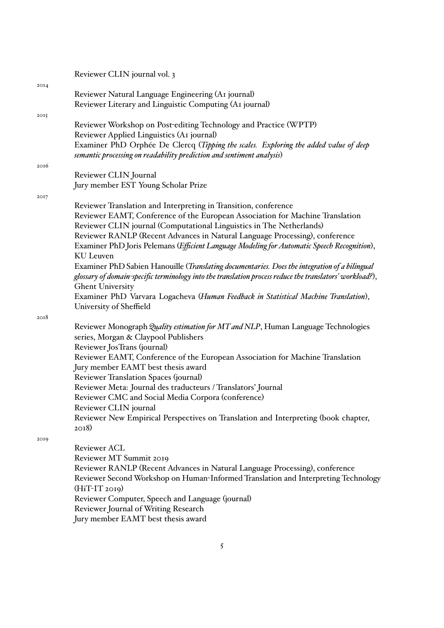|      | Reviewer CLIN journal vol. 3                                                                             |
|------|----------------------------------------------------------------------------------------------------------|
| 20I4 |                                                                                                          |
|      | Reviewer Natural Language Engineering (A1 journal)                                                       |
|      | Reviewer Literary and Linguistic Computing (AI journal)                                                  |
| 2015 |                                                                                                          |
|      | Reviewer Workshop on Post-editing Technology and Practice (WPTP)                                         |
|      | Reviewer Applied Linguistics (A1 journal)                                                                |
|      | Examiner PhD Orphée De Clercq (Tipping the scales. Exploring the added value of deep                     |
|      | semantic processing on readability prediction and sentiment analysis)                                    |
| 2016 | Reviewer CLIN Journal                                                                                    |
|      | Jury member EST Young Scholar Prize                                                                      |
|      |                                                                                                          |
| 2017 | Reviewer Translation and Interpreting in Transition, conference                                          |
|      | Reviewer EAMT, Conference of the European Association for Machine Translation                            |
|      | Reviewer CLIN journal (Computational Linguistics in The Netherlands)                                     |
|      | Reviewer RANLP (Recent Advances in Natural Language Processing), conference                              |
|      | Examiner PhD Joris Pelemans (Efficient Language Modeling for Automatic Speech Recognition),              |
|      | KU Leuven                                                                                                |
|      | Examiner PhD Sabien Hanouille (Translating documentaries. Does the integration of a bilingual            |
|      | glossary of domain-specific terminology into the translation process reduce the translators' workload?), |
|      | <b>Ghent University</b>                                                                                  |
|      | Examiner PhD Varvara Logacheva (Human Feedback in Statistical Machine Translation),                      |
|      | University of Sheffield                                                                                  |
| 2018 |                                                                                                          |
|      | Reviewer Monograph Quality estimation for MT and NLP, Human Language Technologies                        |
|      | series, Morgan & Claypool Publishers                                                                     |
|      | Reviewer Jos Trans (journal)                                                                             |
|      | Reviewer EAMT, Conference of the European Association for Machine Translation                            |
|      | Jury member EAMT best thesis award                                                                       |
|      | Reviewer Translation Spaces (journal)                                                                    |
|      | Reviewer Meta: Journal des traducteurs / Translators' Journal                                            |
|      | Reviewer CMC and Social Media Corpora (conference)                                                       |
|      | Reviewer CLIN journal                                                                                    |
|      | Reviewer New Empirical Perspectives on Translation and Interpreting (book chapter,                       |
|      | $2018$ )                                                                                                 |
| 2019 | Reviewer ACL                                                                                             |
|      | Reviewer MT Summit 2019                                                                                  |
|      | Reviewer RANLP (Recent Advances in Natural Language Processing), conference                              |
|      | Reviewer Second Workshop on Human-Informed Translation and Interpreting Technology                       |
|      | $(HiT-IT 20I9)$                                                                                          |
|      | Reviewer Computer, Speech and Language (journal)                                                         |
|      |                                                                                                          |

Reviewer Journal of Writing Research

Jury member EAMT best thesis award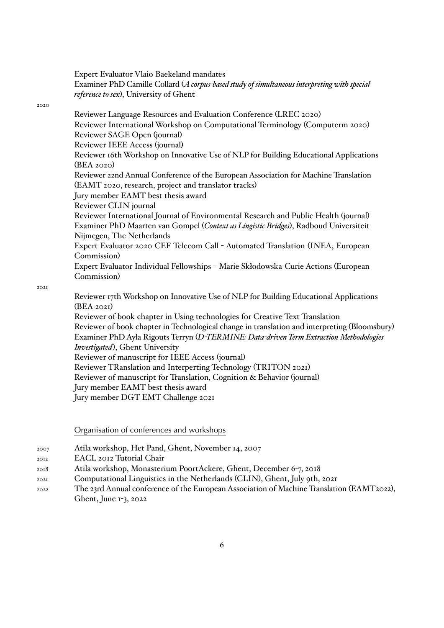Expert Evaluator Vlaio Baekeland mandates Examiner PhD Camille Collard (*A corpus-based study of simultaneous interpreting with special reference to sex*), University of Ghent

#### 2020

Reviewer Language Resources and Evaluation Conference (LREC 2020) Reviewer International Workshop on Computational Terminology (Computerm 2020) Reviewer SAGE Open (journal) Reviewer IEEE Access (journal) Reviewer 16th Workshop on Innovative Use of NLP for Building Educational Applications (BEA 2020) Reviewer 22nd Annual Conference of the European Association for Machine Translation (EAMT 2020, research, project and translator tracks) Jury member EAMT best thesis award Reviewer CLIN journal Reviewer International Journal of Environmental Research and Public Health (journal) Examiner PhD Maarten van Gompel (*Context as Lingistic Bridges*), Radboud Universiteit Nijmegen, The Netherlands Expert Evaluator 2020 CEF Telecom Call - Automated Translation (INEA, European Commission) Expert Evaluator Individual Fellowships – Marie Skłodowska-Curie Actions (European Commission)

2021

Reviewer 17th Workshop on Innovative Use of NLP for Building Educational Applications (BEA 2021) Reviewer of book chapter in Using technologies for Creative Text Translation Reviewer of book chapter in Technological change in translation and interpreting (Bloomsbury) Examiner PhD Ayla Rigouts Terryn (*D-TERMINE: Data-driven Term Extraction Methodologies Investigated*), Ghent University Reviewer of manuscript for IEEE Access (journal) Reviewer TRanslation and Interperting Technology (TRITON 2021) Reviewer of manuscript for Translation, Cognition & Behavior (journal) Jury member EAMT best thesis award Jury member DGT EMT Challenge 2021

Organisation of conferences and workshops

- 2007 Atila workshop, Het Pand, Ghent, November 14, 2007
- 2012 EACL 2012 Tutorial Chair
- 2018 Atila workshop, Monasterium PoortAckere, Ghent, December 6-7, 2018
- 2021 Computational Linguistics in the Netherlands (CLIN), Ghent, July 9th, 2021
- 2022 The 23rd Annual conference of the European Association of Machine Translation (EAMT2022), Ghent, June 1-3, 2022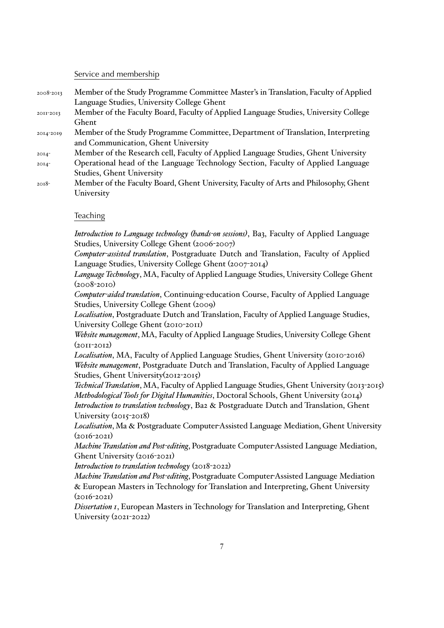### Service and membership

| 2008-2013 | Member of the Study Programme Committee Master's in Translation, Faculty of Applied |
|-----------|-------------------------------------------------------------------------------------|
|           | Language Studies, University College Ghent                                          |

- 2011-2013 Member of the Faculty Board, Faculty of Applied Language Studies, University College Ghent
- 2014-2019 Member of the Study Programme Committee, Department of Translation, Interpreting and Communication, Ghent University
- 2014- Member of the Research cell, Faculty of Applied Language Studies, Ghent University
- 2014- Operational head of the Language Technology Section, Faculty of Applied Language Studies, Ghent University
- 2018- Member of the Faculty Board, Ghent University, Faculty of Arts and Philosophy, Ghent University

## **Teaching**

*Introduction to Language technology (hands-on sessions)*, Ba3, Faculty of Applied Language Studies, University College Ghent (2006-2007)

*Computer-assisted translation*, Postgraduate Dutch and Translation, Faculty of Applied Language Studies, University College Ghent (2007-2014)

*Language Technology*, MA, Faculty of Applied Language Studies, University College Ghent  $(2008 - 2010)$ 

*Computer-aided translation*, Continuing-education Course, Faculty of Applied Language Studies, University College Ghent (2009)

*Localisation*, Postgraduate Dutch and Translation, Faculty of Applied Language Studies, University College Ghent (2010-2011)

*Website management*, MA, Faculty of Applied Language Studies, University College Ghent  $(20II-20I2)$ 

*Localisation*, MA, Faculty of Applied Language Studies, Ghent University (2010-2016) *Website management*, Postgraduate Dutch and Translation, Faculty of Applied Language Studies, Ghent University(2012-2015)

*Technical Translation*, MA, Faculty of Applied Language Studies, Ghent University (2013-2015) *Methodological Tools for Digital Humanities*, Doctoral Schools, Ghent University (2014) *Introduction to translation technology*, Ba2 & Postgraduate Dutch and Translation, Ghent University (2015-2018)

*Localisation*, Ma & Postgraduate Computer-Assisted Language Mediation, Ghent University  $(2016 - 2021)$ 

*Machine Translation and Post-editing*, Postgraduate Computer-Assisted Language Mediation, Ghent University (2016-2021)

*Introduction to translation technology* (2018-2022)

*Machine Translation and Post-editing*, Postgraduate Computer-Assisted Language Mediation & European Masters in Technology for Translation and Interpreting, Ghent University  $(2016 - 2021)$ 

*Dissertation 1*, European Masters in Technology for Translation and Interpreting, Ghent University (2021-2022)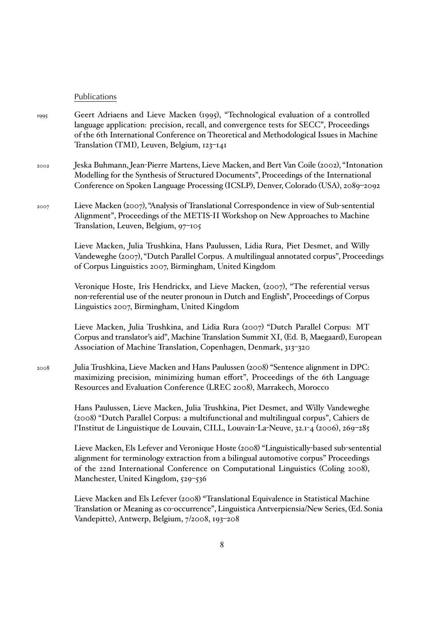## Publications

- 1995 Geert Adriaens and Lieve Macken (1995), "Technological evaluation of a controlled language application: precision, recall, and convergence tests for SECC", Proceedings of the 6th International Conference on Theoretical and Methodological Issues in Machine Translation (TMI), Leuven, Belgium, 123–141
- 2002 Jeska Buhmann, Jean-Pierre Martens, Lieve Macken, and Bert Van Coile (2002), "Intonation Modelling for the Synthesis of Structured Documents", Proceedings of the International Conference on Spoken Language Processing (ICSLP), Denver, Colorado (USA), 2089–2092
- 2007 Lieve Macken (2007), "Analysis of Translational Correspondence in view of Sub-sentential Alignment", Proceedings of the METIS-II Workshop on New Approaches to Machine Translation, Leuven, Belgium, 97–105

Lieve Macken, Julia Trushkina, Hans Paulussen, Lidia Rura, Piet Desmet, and Willy Vandeweghe (2007), "Dutch Parallel Corpus. A multilingual annotated corpus", Proceedings of Corpus Linguistics 2007, Birmingham, United Kingdom

Veronique Hoste, Iris Hendrickx, and Lieve Macken, (2007), "The referential versus non-referential use of the neuter pronoun in Dutch and English", Proceedings of Corpus Linguistics 2007, Birmingham, United Kingdom

Lieve Macken, Julia Trushkina, and Lidia Rura (2007) "Dutch Parallel Corpus: MT Corpus and translator's aid", Machine Translation Summit XI, (Ed. B, Maegaard), European Association of Machine Translation, Copenhagen, Denmark, 313–320

2008 Julia Trushkina, Lieve Macken and Hans Paulussen (2008) "Sentence alignment in DPC: maximizing precision, minimizing human effort", Proceedings of the 6th Language Resources and Evaluation Conference (LREC 2008), Marrakech, Morocco

> Hans Paulussen, Lieve Macken, Julia Trushkina, Piet Desmet, and Willy Vandeweghe (2008) "Dutch Parallel Corpus: a multifunctional and multilingual corpus", Cahiers de l'Institut de Linguistique de Louvain, CILL, Louvain-La-Neuve, 32.1-4 (2006), 269–285

Lieve Macken, Els Lefever and Veronique Hoste (2008) "Linguistically-based sub-sentential alignment for terminology extraction from a bilingual automotive corpus" Proceedings of the 22nd International Conference on Computational Linguistics (Coling 2008), Manchester, United Kingdom, 529–536

Lieve Macken and Els Lefever (2008) "Translational Equivalence in Statistical Machine Translation or Meaning as co-occurrence", Linguistica Antverpiensia/New Series, (Ed. Sonia Vandepitte), Antwerp, Belgium, 7/2008, 193–208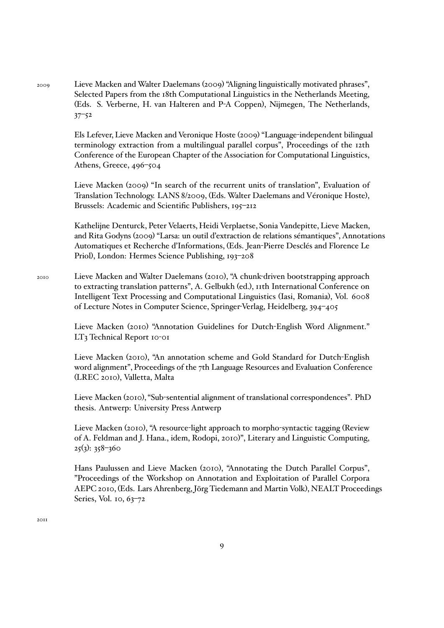2009 Lieve Macken and Walter Daelemans (2009) "Aligning linguistically motivated phrases", Selected Papers from the 18th Computational Linguistics in the Netherlands Meeting, (Eds. S. Verberne, H. van Halteren and P-A Coppen), Nijmegen, The Netherlands, 37–52

> Els Lefever, Lieve Macken and Veronique Hoste (2009) "Language-independent bilingual terminology extraction from a multilingual parallel corpus", Proceedings of the 12th Conference of the European Chapter of the Association for Computational Linguistics, Athens, Greece, 496–504

> Lieve Macken (2009) "In search of the recurrent units of translation", Evaluation of Translation Technology. LANS 8/2009, (Eds. Walter Daelemans and Véronique Hoste), Brussels: Academic and Scientific Publishers, 195–212

Kathelijne Denturck, Peter Velaerts, Heidi Verplaetse, Sonia Vandepitte, Lieve Macken, and Rita Godyns (2009) "Larsa: un outil d'extraction de relations sémantiques", Annotations Automatiques et Recherche d'Informations, (Eds. Jean-Pierre Desclés and Florence Le Priol), London: Hermes Science Publishing, 193–208

2010 Lieve Macken and Walter Daelemans (2010), "A chunk-driven bootstrapping approach to extracting translation patterns", A. Gelbukh (ed.), 11th International Conference on Intelligent Text Processing and Computational Linguistics (Iasi, Romania), Vol. 6008 of Lecture Notes in Computer Science, Springer-Verlag, Heidelberg, 394–405

> Lieve Macken (2010) "Annotation Guidelines for Dutch-English Word Alignment." LT3 Technical Report 10-01

Lieve Macken (2010), "An annotation scheme and Gold Standard for Dutch-English word alignment", Proceedings of the 7th Language Resources and Evaluation Conference (LREC 2010), Valletta, Malta

Lieve Macken (2010), "Sub-sentential alignment of translational correspondences". PhD thesis. Antwerp: University Press Antwerp

Lieve Macken (2010), "A resource-light approach to morpho-syntactic tagging (Review of A. Feldman and J. Hana., idem, Rodopi, 2010)", Literary and Linguistic Computing, 25(3): 358–360

Hans Paulussen and Lieve Macken (2010), "Annotating the Dutch Parallel Corpus", "Proceedings of the Workshop on Annotation and Exploitation of Parallel Corpora AEPC 2010, (Eds. Lars Ahrenberg, Jörg Tiedemann and Martin Volk), NEALT Proceedings Series, Vol. 10, 63-72

2011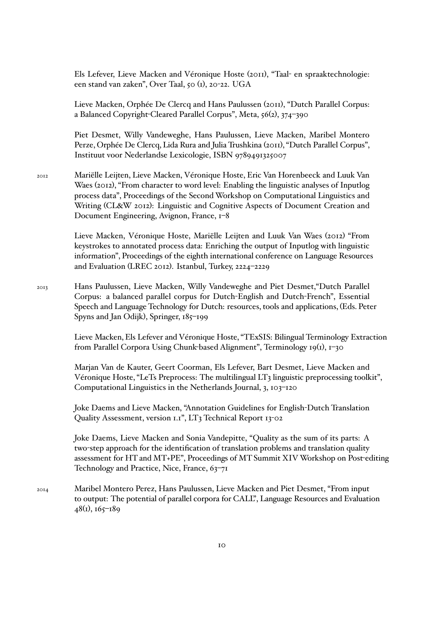Els Lefever, Lieve Macken and Véronique Hoste (2011), "Taal- en spraaktechnologie: een stand van zaken", Over Taal, 50 (1), 20-22. UGA

Lieve Macken, Orphée De Clercq and Hans Paulussen (2011), "Dutch Parallel Corpus: a Balanced Copyright-Cleared Parallel Corpus", Meta, 56(2), 374–390

Piet Desmet, Willy Vandeweghe, Hans Paulussen, Lieve Macken, Maribel Montero Perze, Orphée De Clercq, Lida Rura and Julia Trushkina (2011), "Dutch Parallel Corpus", Instituut voor Nederlandse Lexicologie, ISBN 9789491325007

2012 Mariëlle Leijten, Lieve Macken, Véronique Hoste, Eric Van Horenbeeck and Luuk Van Waes (2012), "From character to word level: Enabling the linguistic analyses of Inputlog process data", Proceedings of the Second Workshop on Computational Linguistics and Writing (CL&W 2012): Linguistic and Cognitive Aspects of Document Creation and Document Engineering, Avignon, France, 1–8

> Lieve Macken, Véronique Hoste, Mariëlle Leijten and Luuk Van Waes (2012) "From keystrokes to annotated process data: Enriching the output of Inputlog with linguistic information", Proceedings of the eighth international conference on Language Resources and Evaluation (LREC 2012). Istanbul, Turkey, 2224–2229

2013 Hans Paulussen, Lieve Macken, Willy Vandeweghe and Piet Desmet,"Dutch Parallel Corpus: a balanced parallel corpus for Dutch-English and Dutch-French", Essential Speech and Language Technology for Dutch: resources, tools and applications, (Eds. Peter Spyns and Jan Odijk), Springer, 185–199

> Lieve Macken, Els Lefever and Véronique Hoste, "TExSIS: Bilingual Terminology Extraction from Parallel Corpora Using Chunk-based Alignment", Terminology 19(1), 1–30

Marjan Van de Kauter, Geert Coorman, Els Lefever, Bart Desmet, Lieve Macken and Véronique Hoste, "LeTs Preprocess: The multilingual LT3 linguistic preprocessing toolkit", Computational Linguistics in the Netherlands Journal, 3, 103–120

Joke Daems and Lieve Macken, "Annotation Guidelines for English-Dutch Translation Quality Assessment, version 1.1", LT3 Technical Report 13-02

Joke Daems, Lieve Macken and Sonia Vandepitte, "Quality as the sum of its parts: A two-step approach for the identification of translation problems and translation quality assessment for HT and MT+PE", Proceedings of MT Summit XIV Workshop on Post-editing Technology and Practice, Nice, France, 63-71

2014 Maribel Montero Perez, Hans Paulussen, Lieve Macken and Piet Desmet, "From input to output: The potential of parallel corpora for CALL", Language Resources and Evaluation  $48(i)$ ,  $165-i89$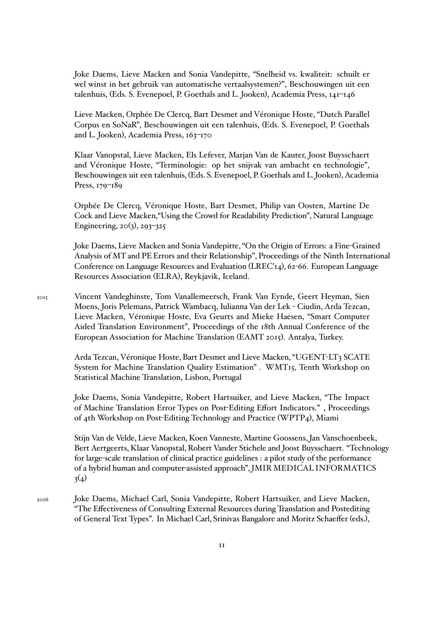Joke Daems, Lieve Macken and Sonia Vandepitte, "Snelheid vs. kwaliteit: schuilt er wel winst in het gebruik van automatische vertaalsystemen?", Beschouwingen uit een talenhuis, (Eds. S. Evenepoel, P. Goethals and L. Jooken), Academia Press, 141–146

Lieve Macken, Orphée De Clercq, Bart Desmet and Véronique Hoste, "Dutch Parallel Corpus en SoNaR", Beschouwingen uit een talenhuis, (Eds. S. Evenepoel, P. Goethals and L. Jooken), Academia Press, 163–170

Klaar Vanopstal, Lieve Macken, Els Lefever, Marjan Van de Kauter, Joost Buysschaert and Véronique Hoste, "Terminologie: op het snijvak van ambacht en technologie", Beschouwingen uit een talenhuis, (Eds. S. Evenepoel, P. Goethals and L. Jooken), Academia Press, 179–189

Orphée De Clercq, Véronique Hoste, Bart Desmet, Philip van Oosten, Martine De Cock and Lieve Macken,"Using the Crowd for Readability Prediction", Natural Language Engineering,  $20(3)$ ,  $293-325$ 

Joke Daems, Lieve Macken and Sonia Vandepitte, "On the Origin of Errors: a Fine-Grained Analysis of MT and PE Errors and their Relationship", Proceedings of the Ninth International Conference on Language Resources and Evaluation (LREC'14), 62-66. European Language Resources Association (ELRA), Reykjavik, Iceland.

2015 Vincent Vandeghinste, Tom Vanallemeersch, Frank Van Eynde, Geert Heyman, Sien Moens, Joris Pelemans, Patrick Wambacq, Iulianna Van der Lek - Ciudin, Arda Tezcan, Lieve Macken, Véronique Hoste, Eva Geurts and Mieke Haesen, "Smart Computer Aided Translation Environment", Proceedings of the 18th Annual Conference of the European Association for Machine Translation (EAMT 2015). Antalya, Turkey.

> Arda Tezcan, Véronique Hoste, Bart Desmet and Lieve Macken, "UGENT-LT3 SCATE System for Machine Translation Quality Estimation" . WMT15, Tenth Workshop on Statistical Machine Translation, Lisbon, Portugal

> Joke Daems, Sonia Vandepitte, Robert Hartsuiker, and Lieve Macken, "The Impact of Machine Translation Error Types on Post-Editing Effort Indicators." , Proceedings of 4th Workshop on Post-Editing Technology and Practice (WPTP4), Miami

Stijn Van de Velde, Lieve Macken, Koen Vanneste, Martine Goossens, Jan Vanschoenbeek, Bert Aertgeerts, Klaar Vanopstal, Robert Vander Stichele and Joost Buysschaert. "Technology for large-scale translation of clinical practice guidelines : a pilot study of the performance of a hybrid human and computer-assisted approach", JMIR MEDICAL INFORMATICS  $3(4)$ 

2016 Joke Daems, Michael Carl, Sonia Vandepitte, Robert Hartsuiker, and Lieve Macken, "The Effectiveness of Consulting External Resources during Translation and Postediting of General Text Types". In Michael Carl, Srinivas Bangalore and Moritz Schaeffer (eds.),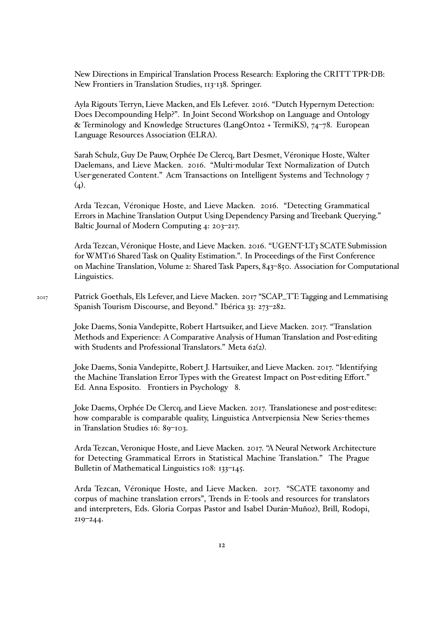New Directions in Empirical Translation Process Research: Exploring the CRITT TPR-DB: New Frontiers in Translation Studies, 113-138. Springer.

Ayla Rigouts Terryn, Lieve Macken, and Els Lefever. 2016. "Dutch Hypernym Detection: Does Decompounding Help?". In Joint Second Workshop on Language and Ontology & Terminology and Knowledge Structures (LangOnto2 + TermiKS), 74–78. European Language Resources Association (ELRA).

Sarah Schulz, Guy De Pauw, Orphée De Clercq, Bart Desmet, Véronique Hoste, Walter Daelemans, and Lieve Macken. 2016. "Multi-modular Text Normalization of Dutch User-generated Content." Acm Transactions on Intelligent Systems and Technology 7  $(4)$ .

Arda Tezcan, Véronique Hoste, and Lieve Macken. 2016. "Detecting Grammatical Errors in Machine Translation Output Using Dependency Parsing and Treebank Querying." Baltic Journal of Modern Computing 4: 203–217.

Arda Tezcan, Véronique Hoste, and Lieve Macken. 2016. "UGENT-LT3 SCATE Submission for WMT16 Shared Task on Quality Estimation.". In Proceedings of the First Conference on Machine Translation, Volume 2: Shared Task Papers, 843–850. Association for Computational Linguistics.

Joke Daems, Sonia Vandepitte, Robert Hartsuiker, and Lieve Macken. 2017. "Translation Methods and Experience: A Comparative Analysis of Human Translation and Post-editing with Students and Professional Translators." Meta 62(2).

Joke Daems, Sonia Vandepitte, Robert J. Hartsuiker, and Lieve Macken. 2017. "Identifying the Machine Translation Error Types with the Greatest Impact on Post-editing Effort." Ed. Anna Esposito. Frontiers in Psychology 8.

Joke Daems, Orphée De Clercq, and Lieve Macken. 2017. Translationese and post-editese: how comparable is comparable quality, Linguistica Antverpiensia New Series-themes in Translation Studies 16: 89–103.

Arda Tezcan, Veronique Hoste, and Lieve Macken. 2017. "A Neural Network Architecture for Detecting Grammatical Errors in Statistical Machine Translation." The Prague Bulletin of Mathematical Linguistics 108: 133–145.

Arda Tezcan, Véronique Hoste, and Lieve Macken. 2017. "SCATE taxonomy and corpus of machine translation errors", Trends in E-tools and resources for translators and interpreters, Eds. Gloria Corpas Pastor and Isabel Durán-Muñoz), Brill, Rodopi, 219–244.

<sup>2017</sup> Patrick Goethals, Els Lefever, and Lieve Macken. 2017 "SCAP\_TT: Tagging and Lemmatising Spanish Tourism Discourse, and Beyond." Ibérica 33: 273–282.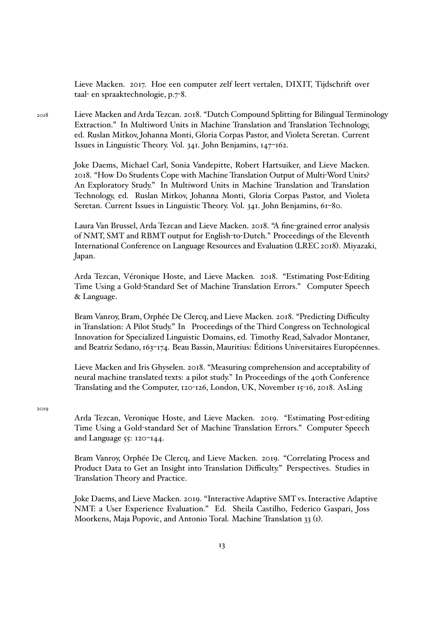Lieve Macken. 2017. Hoe een computer zelf leert vertalen, DIXIT, Tijdschrift over taal- en spraaktechnologie, p.7-8.

2018 Lieve Macken and Arda Tezcan. 2018. "Dutch Compound Splitting for Bilingual Terminology Extraction." In Multiword Units in Machine Translation and Translation Technology, ed. Ruslan Mitkov, Johanna Monti, Gloria Corpas Pastor, and Violeta Seretan. Current Issues in Linguistic Theory. Vol. 341. John Benjamins, 147–162.

> Joke Daems, Michael Carl, Sonia Vandepitte, Robert Hartsuiker, and Lieve Macken. 2018. "How Do Students Cope with Machine Translation Output of Multi-Word Units? An Exploratory Study." In Multiword Units in Machine Translation and Translation Technology, ed. Ruslan Mitkov, Johanna Monti, Gloria Corpas Pastor, and Violeta Seretan. Current Issues in Linguistic Theory. Vol. 341. John Benjamins, 61–80.

Laura Van Brussel, Arda Tezcan and Lieve Macken. 2018. "A fine-grained error analysis of NMT, SMT and RBMT output for English-to-Dutch." Proceedings of the Eleventh International Conference on Language Resources and Evaluation (LREC 2018). Miyazaki, Japan.

Arda Tezcan, Véronique Hoste, and Lieve Macken. 2018. "Estimating Post-Editing Time Using a Gold-Standard Set of Machine Translation Errors." Computer Speech & Language.

Bram Vanroy, Bram, Orphée De Clercq, and Lieve Macken. 2018. "Predicting Difficulty in Translation: A Pilot Study." In Proceedings of the Third Congress on Technological Innovation for Specialized Linguistic Domains, ed. Timothy Read, Salvador Montaner, and Beatriz Sedano, 163–174. Beau Bassin, Mauritius: Éditions Universitaires Européennes.

Lieve Macken and Iris Ghyselen. 2018. "Measuring comprehension and acceptability of neural machine translated texts: a pilot study." In Proceedings of the 40th Conference Translating and the Computer, 120-126, London, UK, November 15-16, 2018. AsLing

2019

Arda Tezcan, Veronique Hoste, and Lieve Macken. 2019. "Estimating Post-editing Time Using a Gold-standard Set of Machine Translation Errors." Computer Speech and Language 55: 120–144.

Bram Vanroy, Orphée De Clercq, and Lieve Macken. 2019. "Correlating Process and Product Data to Get an Insight into Translation Difficulty." Perspectives. Studies in Translation Theory and Practice.

Joke Daems, and Lieve Macken. 2019. "Interactive Adaptive SMT vs. Interactive Adaptive NMT: a User Experience Evaluation." Ed. Sheila Castilho, Federico Gaspari, Joss Moorkens, Maja Popovic, and Antonio Toral. Machine Translation 33 (1).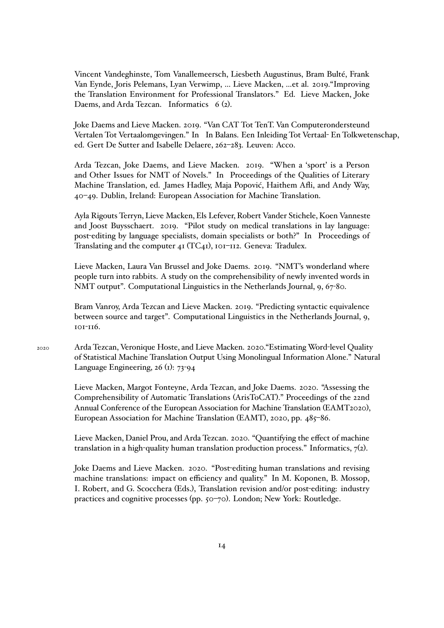Vincent Vandeghinste, Tom Vanallemeersch, Liesbeth Augustinus, Bram Bulté, Frank Van Eynde, Joris Pelemans, Lyan Verwimp, … Lieve Macken, …et al. 2019."Improving the Translation Environment for Professional Translators." Ed. Lieve Macken, Joke Daems, and Arda Tezcan. Informatics 6 (2).

Joke Daems and Lieve Macken. 2019. "Van CAT Tot TenT. Van Computerondersteund Vertalen Tot Vertaalomgevingen." In In Balans. Een Inleiding Tot Vertaal- En Tolkwetenschap, ed. Gert De Sutter and Isabelle Delaere, 262–283. Leuven: Acco.

Arda Tezcan, Joke Daems, and Lieve Macken. 2019. "When a 'sport' is a Person and Other Issues for NMT of Novels." In Proceedings of the Qualities of Literary Machine Translation, ed. James Hadley, Maja Popović, Haithem Afli, and Andy Way, 40–49. Dublin, Ireland: European Association for Machine Translation.

Ayla Rigouts Terryn, Lieve Macken, Els Lefever, Robert Vander Stichele, Koen Vanneste and Joost Buysschaert. 2019. "Pilot study on medical translations in lay language: post-editing by language specialists, domain specialists or both?" In Proceedings of Translating and the computer 41 (TC41), 101-112. Geneva: Tradulex.

Lieve Macken, Laura Van Brussel and Joke Daems. 2019. "NMT's wonderland where people turn into rabbits. A study on the comprehensibility of newly invented words in NMT output". Computational Linguistics in the Netherlands Journal, 9, 67-80.

Bram Vanroy, Arda Tezcan and Lieve Macken. 2019. "Predicting syntactic equivalence between source and target". Computational Linguistics in the Netherlands Journal, 9, 101-116.

2020 Arda Tezcan, Veronique Hoste, and Lieve Macken. 2020."Estimating Word-level Quality of Statistical Machine Translation Output Using Monolingual Information Alone." Natural Language Engineering, 26 (1): 73-94

> Lieve Macken, Margot Fonteyne, Arda Tezcan, and Joke Daems. 2020. "Assessing the Comprehensibility of Automatic Translations (ArisToCAT)." Proceedings of the 22nd Annual Conference of the European Association for Machine Translation (EAMT2020), European Association for Machine Translation (EAMT), 2020, pp. 485–86.

> Lieve Macken, Daniel Prou, and Arda Tezcan. 2020. "Quantifying the effect of machine translation in a high-quality human translation production process." Informatics, 7(2).

> Joke Daems and Lieve Macken. 2020. "Post-editing human translations and revising machine translations: impact on efficiency and quality." In M. Koponen, B. Mossop, I. Robert, and G. Scocchera (Eds.), Translation revision and/or post-editing: industry practices and cognitive processes (pp. 50–70). London; New York: Routledge.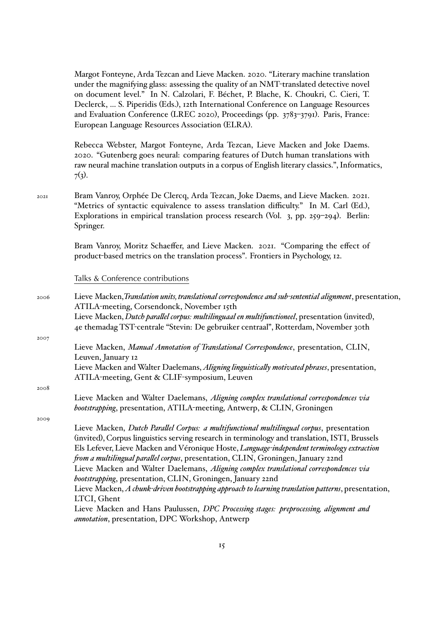Margot Fonteyne, Arda Tezcan and Lieve Macken. 2020. "Literary machine translation under the magnifying glass: assessing the quality of an NMT-translated detective novel on document level." In N. Calzolari, F. Béchet, P. Blache, K. Choukri, C. Cieri, T. Declerck, … S. Piperidis (Eds.), 12th International Conference on Language Resources and Evaluation Conference (LREC 2020), Proceedings (pp. 3783–3791). Paris, France: European Language Resources Association (ELRA).

Rebecca Webster, Margot Fonteyne, Arda Tezcan, Lieve Macken and Joke Daems. 2020. "Gutenberg goes neural: comparing features of Dutch human translations with raw neural machine translation outputs in a corpus of English literary classics.", Informatics,  $7(3)$ .

2021 Bram Vanroy, Orphée De Clercq, Arda Tezcan, Joke Daems, and Lieve Macken. 2021. "Metrics of syntactic equivalence to assess translation difficulty." In M. Carl (Ed.), Explorations in empirical translation process research (Vol. 3, pp. 259–294). Berlin: Springer.

> Bram Vanroy, Moritz Schaeffer, and Lieve Macken. 2021. "Comparing the effect of product-based metrics on the translation process". Frontiers in Psychology, 12.

#### Talks & Conference contributions

<sup>2006</sup> Lieve Macken,*Translation units, translational correspondence and sub-sentential alignment*, presentation, ATILA-meeting, Corsendonck, November 15th Lieve Macken, *Dutch parallel corpus: multilinguaal en multifunctioneel*, presentation (invited), 4e themadag TST-centrale "Stevin: De gebruiker centraal", Rotterdam, November 30th 2007 Lieve Macken, *Manual Annotation of Translational Correspondence*, presentation, CLIN, Leuven, January 12 Lieve Macken and Walter Daelemans, *Aligning linguistically motivated phrases*, presentation, ATILA-meeting, Gent & CLIF-symposium, Leuven 2008 Lieve Macken and Walter Daelemans, *Aligning complex translational correspondences via bootstrapping*, presentation, ATILA-meeting, Antwerp, & CLIN, Groningen 2009 Lieve Macken, *Dutch Parallel Corpus: a multifunctional multilingual corpus*, presentation (invited), Corpus linguistics serving research in terminology and translation, ISTI, Brussels Els Lefever, Lieve Macken and Véronique Hoste, *Language-independent terminology extraction from a multilingual parallel corpus*, presentation, CLIN, Groningen, January 22nd Lieve Macken and Walter Daelemans, *Aligning complex translational correspondences via bootstrapping*, presentation, CLIN, Groningen, January 22nd Lieve Macken, *A chunk-driven bootstrapping approach to learning translation patterns*, presentation, LTCI, Ghent Lieve Macken and Hans Paulussen, *DPC Processing stages: preprocessing, alignment and annotation*, presentation, DPC Workshop, Antwerp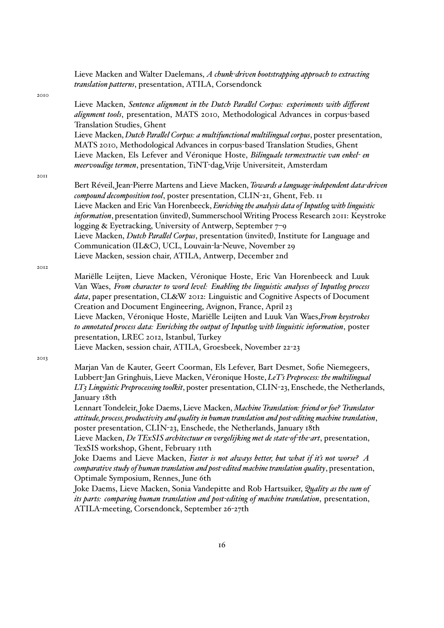Lieve Macken and Walter Daelemans, *A chunk-driven bootstrapping approach to extracting translation patterns*, presentation, ATILA, Corsendonck

2010

Lieve Macken, *Sentence alignment in the Dutch Parallel Corpus: experiments with different alignment tools*, presentation, MATS 2010, Methodological Advances in corpus-based Translation Studies, Ghent Lieve Macken, *Dutch Parallel Corpus: a multifunctional multilingual corpus*, poster presentation, MATS 2010, Methodological Advances in corpus-based Translation Studies, Ghent Lieve Macken, Els Lefever and Véronique Hoste, *Bilinguale termextractie van enkel- en meervoudige termen*, presentation, TiNT-dag,Vrije Universiteit, Amsterdam

2011

Bert Réveil, Jean-Pierre Martens and Lieve Macken, *Towards a language-independent data-driven compound decomposition tool*, poster presentation, CLIN-21, Ghent, Feb. 11 Lieve Macken and Eric Van Horenbeeck, *Enriching the analysis data of Inputlog with linguistic information*, presentation (invited), Summerschool Writing Process Research 2011: Keystroke logging & Eyetracking, University of Antwerp, September 7–9 Lieve Macken, *Dutch Parallel Corpus*, presentation (invited), Institute for Language and Communication (IL&C), UCL, Louvain-la-Neuve, November 29 Lieve Macken, session chair, ATILA, Antwerp, December 2nd

2012

Mariëlle Leijten, Lieve Macken, Véronique Hoste, Eric Van Horenbeeck and Luuk Van Waes, *From character to word level: Enabling the linguistic analyses of Inputlog process data*, paper presentation, CL&W 2012: Linguistic and Cognitive Aspects of Document Creation and Document Engineering, Avignon, France, April 23 Lieve Macken, Véronique Hoste, Mariëlle Leijten and Luuk Van Waes,*From keystrokes to annotated process data: Enriching the output of Inputlog with linguistic information*, poster presentation, LREC 2012, Istanbul, Turkey Lieve Macken, session chair, ATILA, Groesbeek, November 22-23

2013

Marjan Van de Kauter, Geert Coorman, Els Lefever, Bart Desmet, Sofie Niemegeers, Lubbert-Jan Gringhuis, Lieve Macken, Véronique Hoste, *LeT's Preprocess: the multilingual LT3 Linguistic Preprocessing toolkit*, poster presentation, CLIN-23, Enschede, the Netherlands, January 18th

Lennart Tondeleir, Joke Daems, Lieve Macken, *Machine Translation: friend or foe? Translator attitude, process, productivity and quality in human translation and post-editing machine translation*, poster presentation, CLIN-23, Enschede, the Netherlands, January 18th

Lieve Macken, *De TExSIS architectuur en vergelijking met de state-of-the-art*, presentation, TexSIS workshop, Ghent, February 11th

Joke Daems and Lieve Macken, *Faster is not always better, but what if it's not worse? A comparative study of human translation and post-edited machine translation quality*, presentation, Optimale Symposium, Rennes, June 6th

Joke Daems, Lieve Macken, Sonia Vandepitte and Rob Hartsuiker, *Quality as the sum of its parts: comparing human translation and post-editing of machine translation*, presentation, ATILA-meeting, Corsendonck, September 26-27th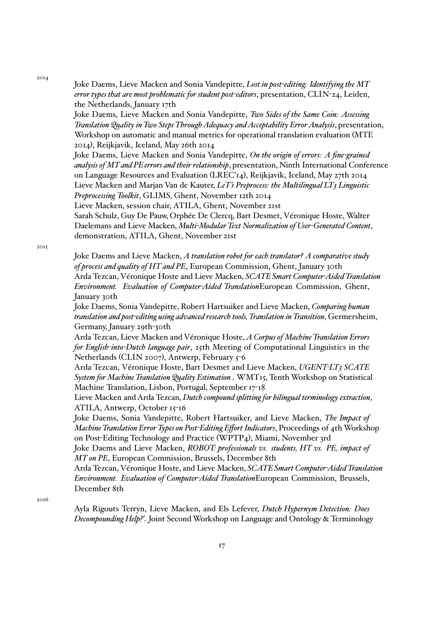2014

Joke Daems, Lieve Macken and Sonia Vandepitte, *Lost in post-editing: Identifying the MT error types that are most problematic for student post-editors*, presentation, CLIN-24, Leiden, the Netherlands, January 17th

Joke Daems, Lieve Macken and Sonia Vandepitte, *Two Sides of the Same Coin: Assessing Translation Quality in Two Steps Through Adequacy and Acceptability Error Analysis*, presentation, Workshop on automatic and manual metrics for operational translation evaluation (MTE 2014), Reijkjavik, Iceland, May 26th 2014

Joke Daems, Lieve Macken and Sonia Vandepitte, *On the origin of errors: A fine-grained analysis of MT and PE errors and their relationship*, presentation, Ninth International Conference on Language Resources and Evaluation (LREC'14), Reijkjavik, Iceland, May 27th 2014 Lieve Macken and Marjan Van de Kauter, *LeT's Preprocess: the Multilingual LT3 Linguistic Preprocessing Toolkit*, GLIMS, Ghent, November 12th 2014

Lieve Macken, session chair, ATILA, Ghent, November 21st

Sarah Schulz, Guy De Pauw, Orphée De Clercq, Bart Desmet, Véronique Hoste, Walter Daelemans and Lieve Macken, *Multi-Modular Text Normalization of User-Generated Content*, demonstration, ATILA, Ghent, November 21st

2015

Joke Daems and Lieve Macken, *A translation robot for each translator? A comparative study of process and quality of HT and PE*, European Commission, Ghent, January 30th Arda Tezcan, Véronique Hoste and Lieve Macken, *SCATE Smart Computer-Aided Translation Environment. Evaluation of Computer-Aided Translation*European Commission, Ghent, January 30th

Joke Daems, Sonia Vandepitte, Robert Hartsuiker and Lieve Macken, *Comparing human translation and post-editing using advanced research tools, Translation in Transition*, Germersheim, Germany, January 29th-30th

Arda Tezcan, Lieve Macken and Véronique Hoste, *A Corpus of Machine Translation Errors for English-into-Dutch language pair*, 25th Meeting of Computational Linguistics in the Netherlands (CLIN 2007), Antwerp, February 5-6

Arda Tezcan, Véronique Hoste, Bart Desmet and Lieve Macken, *UGENT-LT3 SCATE System for Machine Translation Quality Estimation* . WMT15, Tenth Workshop on Statistical Machine Translation, Lisbon, Portugal, September 17-18

Lieve Macken and Arda Tezcan, *Dutch compound splitting for bilingual terminology extraction*, ATILA, Antwerp, October 15-16

Joke Daems, Sonia Vandepitte, Robert Hartsuiker, and Lieve Macken, *The Impact of Machine Translation Error Types on Post-Editing Effort Indicators*, Proceedings of 4th Workshop on Post-Editing Technology and Practice (WPTP4), Miami, November 3rd

Joke Daems and Lieve Macken, *ROBOT: professionals vs. students, HT vs. PE, impact of MT on PE*, European Commission, Brussels, December 8th

Arda Tezcan, Véronique Hoste, and Lieve Macken, *SCATE Smart Computer-Aided Translation Environment. Evaluation of Computer-Aided Translation*European Commission, Brussels, December 8th

 $2016$ 

Ayla Rigouts Terryn, Lieve Macken, and Els Lefever, *Dutch Hypernym Detection: Does Decompounding Help?'*. Joint Second Workshop on Language and Ontology & Terminology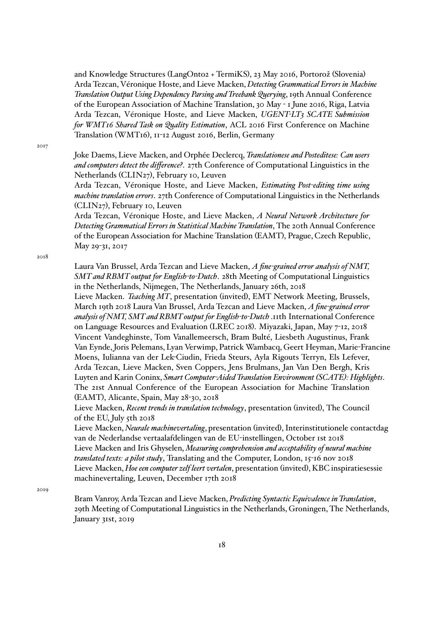and Knowledge Structures (LangOnto2 + TermiKS), 23 May 2016, Portorož (Slovenia) Arda Tezcan, Véronique Hoste, and Lieve Macken, *Detecting Grammatical Errors in Machine Translation Output Using Dependency Parsing and Treebank Querying*, 19th Annual Conference of the European Association of Machine Translation, 30 May - 1 June 2016, Riga, Latvia Arda Tezcan, Véronique Hoste, and Lieve Macken, *UGENT-LT3 SCATE Submission for WMT16 Shared Task on Quality Estimation*, ACL 2016 First Conference on Machine Translation (WMT16), 11-12 August 2016, Berlin, Germany

2017

Joke Daems, Lieve Macken, and Orphée Declercq, *Translationese and Posteditese: Can users and computers detect the difference?*. 27th Conference of Computational Linguistics in the Netherlands (CLIN27), February 10, Leuven

Arda Tezcan, Véronique Hoste, and Lieve Macken, *Estimating Post-editing time using machine translation errors*. 27th Conference of Computational Linguistics in the Netherlands (CLIN27), February 10, Leuven

Arda Tezcan, Véronique Hoste, and Lieve Macken, *A Neural Network Architecture for Detecting Grammatical Errors in Statistical Machine Translation*, The 20th Annual Conference of the European Association for Machine Translation (EAMT), Prague, Czech Republic, May 29-31, 2017

2018

Laura Van Brussel, Arda Tezcan and Lieve Macken, *A fine-grained error analysis of NMT, SMT and RBMT output for English-to-Dutch*. 28th Meeting of Computational Linguistics in the Netherlands, Nijmegen, The Netherlands, January 26th, 2018

Lieve Macken. *Teaching MT*, presentation (invited), EMT Network Meeting, Brussels, March 19th 2018 Laura Van Brussel, Arda Tezcan and Lieve Macken, *A fine-grained error analysis of NMT, SMT and RBMT output for English-to-Dutch* .11th International Conference on Language Resources and Evaluation (LREC 2018). Miyazaki, Japan, May 7-12, 2018 Vincent Vandeghinste, Tom Vanallemeersch, Bram Bulté, Liesbeth Augustinus, Frank Van Eynde, Joris Pelemans, Lyan Verwimp, Patrick Wambacq, Geert Heyman, Marie-Francine Moens, Iulianna van der Lek-Ciudin, Frieda Steurs, Ayla Rigouts Terryn, Els Lefever, Arda Tezcan, Lieve Macken, Sven Coppers, Jens Brulmans, Jan Van Den Bergh, Kris Luyten and Karin Coninx, *Smart Computer-Aided Translation Environment (SCATE): Highlights*. The 21st Annual Conference of the European Association for Machine Translation (EAMT), Alicante, Spain, May 28-30, 2018

Lieve Macken, *Recent trends in translation technology*, presentation (invited), The Council of the EU, July 5th 2018

Lieve Macken, *Neurale machinevertaling*, presentation (invited), Interinstitutionele contactdag van de Nederlandse vertaalafdelingen van de EU-instellingen, October 1st 2018 Lieve Macken and Iris Ghyselen, *Measuring comprehension and acceptability of neural machine translated texts: a pilot study*, Translating and the Computer, London, 15-16 nov 2018 Lieve Macken, *Hoe een computer zelf leert vertalen*, presentation (invited), KBC inspiratiesessie machinevertaling, Leuven, December 17th 2018

2019

Bram Vanroy, Arda Tezcan and Lieve Macken, *Predicting Syntactic Equivalence in Translation*, 29th Meeting of Computational Linguistics in the Netherlands, Groningen, The Netherlands, January 31st, 2019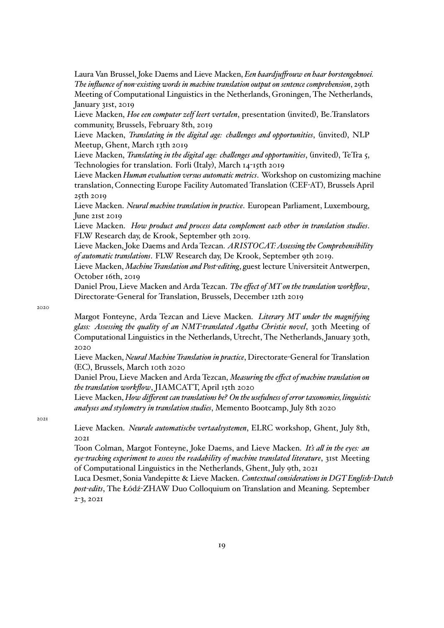Laura Van Brussel, Joke Daems and Lieve Macken, *Een baardjuffrouw en haar borstengeknoei. The influence of non-existing words in machine translation output on sentence comprehension*, 29th Meeting of Computational Linguistics in the Netherlands, Groningen, The Netherlands, January 31st, 2019

Lieve Macken, *Hoe een computer zelf leert vertalen*, presentation (invited), Be.Translators community, Brussels, February 8th, 2019

Lieve Macken, *Translating in the digital age: challenges and opportunities*, (invited), NLP Meetup, Ghent, March 13th 2019

Lieve Macken, *Translating in the digital age: challenges and opportunities*, (invited), TeTra 5, Technologies for translation. Forli (Italy), March 14-15th 2019

Lieve Macken *Human evaluation versus automatic metrics*. Workshop on customizing machine translation, Connecting Europe Facility Automated Translation (CEF-AT), Brussels April 25th 2019

Lieve Macken. *Neural machine translation in practice*. European Parliament, Luxembourg, June 21st 2019

Lieve Macken. *How product and process data complement each other in translation studies*. FLW Research day, de Krook, September 9th 2019.

Lieve Macken, Joke Daems and Arda Tezcan. *ARISTOCAT: Assessing the Comprehensibility of automatic translations*. FLW Research day, De Krook, September 9th 2019.

Lieve Macken, *Machine Translation and Post-editing*, guest lecture Universiteit Antwerpen, October 16th, 2019

Daniel Prou, Lieve Macken and Arda Tezcan. *The effect of MT on the translation workflow*, Directorate-General for Translation, Brussels, December 12th 2019

2020

Margot Fonteyne, Arda Tezcan and Lieve Macken. *Literary MT under the magnifying glass: Assessing the quality of an NMT-translated Agatha Christie novel*, 30th Meeting of Computational Linguistics in the Netherlands, Utrecht, The Netherlands, January 30th, 2020

Lieve Macken, *Neural Machine Translation in practice*, Directorate-General for Translation (EC), Brussels, March 10th 2020

Daniel Prou, Lieve Macken and Arda Tezcan, *Measuring the effect of machine translation on the translation workflow*, JIAMCATT, April 15th 2020

Lieve Macken, *How different can translations be? On the usefulness of error taxonomies, linguistic analyses and stylometry in translation studies*, Memento Bootcamp, July 8th 2020

2021

Lieve Macken. *Neurale automatische vertaalsystemen*, ELRC workshop, Ghent, July 8th, 2021

Toon Colman, Margot Fonteyne, Joke Daems, and Lieve Macken. *It's all in the eyes: an eye-tracking experiment to assess the readability of machine translated literature*, 31st Meeting of Computational Linguistics in the Netherlands, Ghent, July 9th, 2021

Luca Desmet, Sonia Vandepitte & Lieve Macken. *Contextual considerations in DGT English-Dutch post-edits*, The Łódź-ZHAW Duo Colloquium on Translation and Meaning. September 2-3, 2021